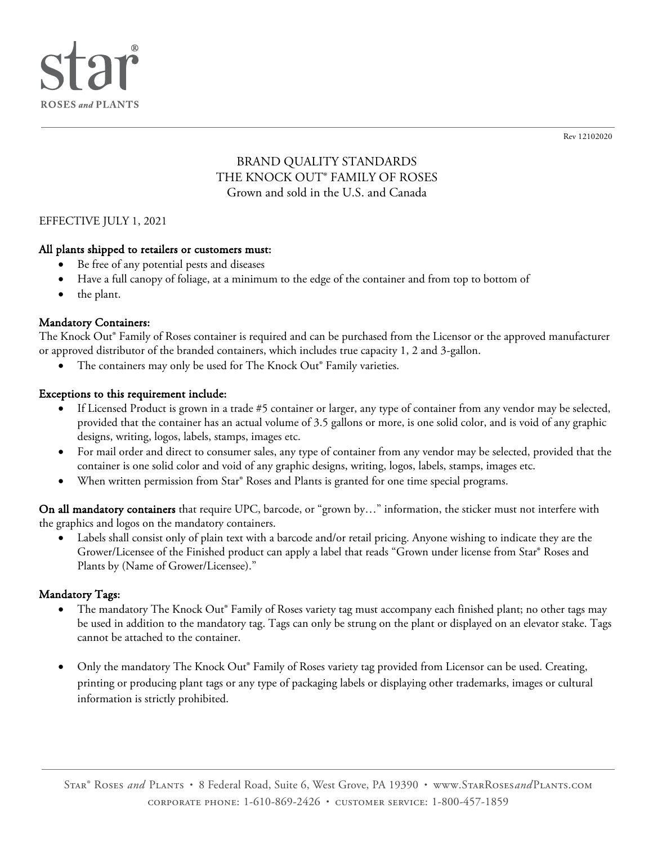

Rev 12102020

# BRAND QUALITY STANDARDS THE KNOCK OUT® FAMILY OF ROSES Grown and sold in the U.S. and Canada

### EFFECTIVE JULY 1, 2021

### All plants shipped to retailers or customers must:

- Be free of any potential pests and diseases
- Have a full canopy of foliage, at a minimum to the edge of the container and from top to bottom of
- the plant.

### Mandatory Containers:

The Knock Out® Family of Roses container is required and can be purchased from the Licensor or the approved manufacturer or approved distributor of the branded containers, which includes true capacity 1, 2 and 3-gallon.

The containers may only be used for The Knock Out® Family varieties.

### Exceptions to this requirement include:

- If Licensed Product is grown in a trade #5 container or larger, any type of container from any vendor may be selected, provided that the container has an actual volume of 3.5 gallons or more, is one solid color, and is void of any graphic designs, writing, logos, labels, stamps, images etc.
- For mail order and direct to consumer sales, any type of container from any vendor may be selected, provided that the container is one solid color and void of any graphic designs, writing, logos, labels, stamps, images etc.
- When written permission from Star<sup>®</sup> Roses and Plants is granted for one time special programs.

On all mandatory containers that require UPC, barcode, or "grown by..." information, the sticker must not interfere with the graphics and logos on the mandatory containers.

Labels shall consist only of plain text with a barcode and/or retail pricing. Anyone wishing to indicate they are the Grower/Licensee of the Finished product can apply a label that reads "Grown under license from Star® Roses and Plants by (Name of Grower/Licensee)."

### Mandatory Tags:

- The mandatory The Knock Out® Family of Roses variety tag must accompany each finished plant; no other tags may be used in addition to the mandatory tag. Tags can only be strung on the plant or displayed on an elevator stake. Tags cannot be attached to the container.
- Only the mandatory The Knock Out® Family of Roses variety tag provided from Licensor can be used. Creating, printing or producing plant tags or any type of packaging labels or displaying other trademarks, images or cultural information is strictly prohibited.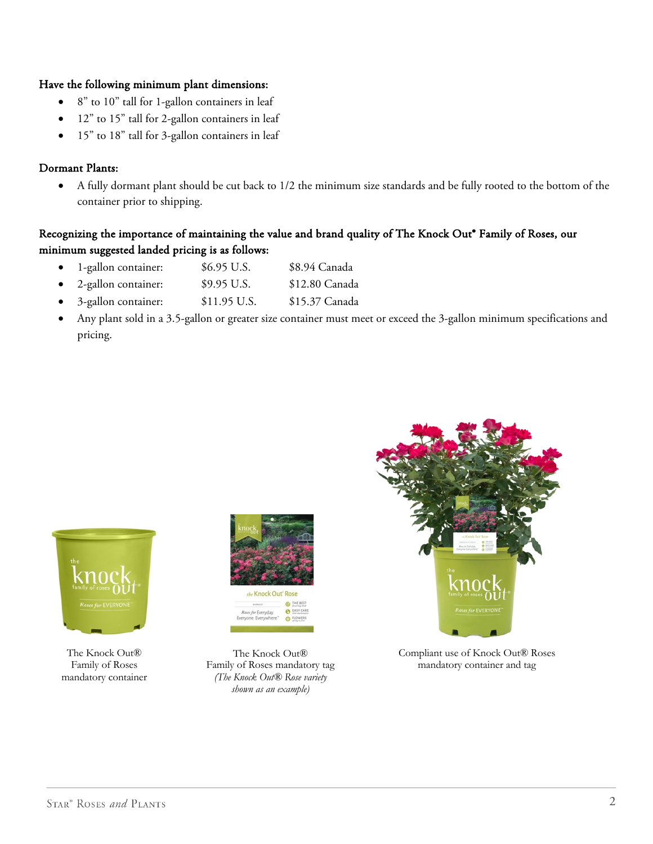#### Have the following minimum plant dimensions:

- 8" to 10" tall for 1-gallon containers in leaf
- 12" to 15" tall for 2-gallon containers in leaf
- 15" to 18" tall for 3-gallon containers in leaf

### Dormant Plants:

• A fully dormant plant should be cut back to 1/2 the minimum size standards and be fully rooted to the bottom of the container prior to shipping.

## Recognizing the importance of maintaining the value and brand quality of The Knock Out® Family of Roses, our minimum suggested landed pricing is as follows:

- 1-gallon container: \$6.95 U.S. \$8.94 Canada
- 2-gallon container: \$9.95 U.S. \$12.80 Canada
- 3-gallon container: \$11.95 U.S. \$15.37 Canada
- Any plant sold in a 3.5-gallon or greater size container must meet or exceed the 3-gallon minimum specifications and pricing.



The Knock Out® Family of Roses mandatory container



The Knock Out® Family of Roses mandatory tag *(The Knock Out® Rose variety shown as an example)*



Compliant use of Knock Out® Roses mandatory container and tag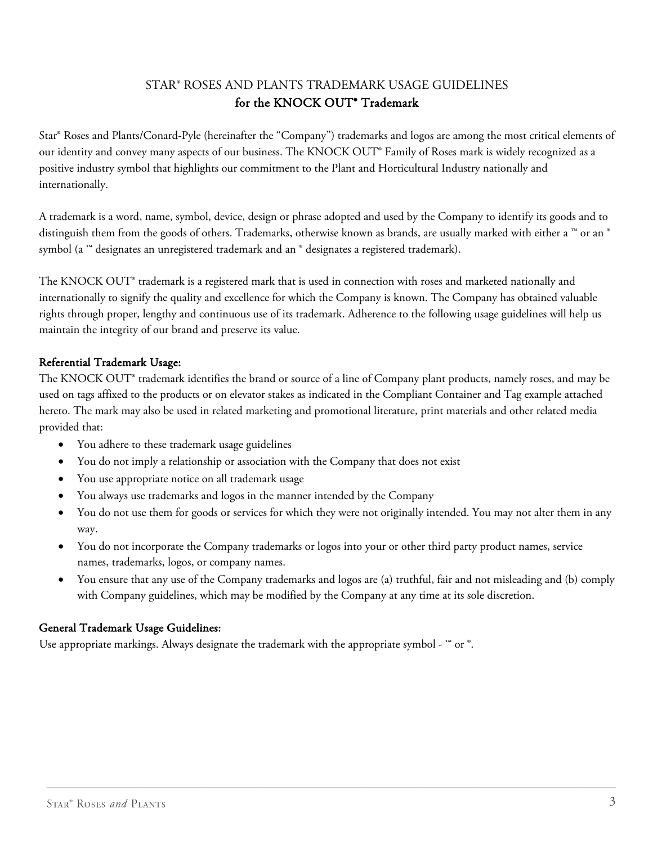# STAR® ROSES AND PLANTS TRADEMARK USAGE GUIDELINES for the KNOCK OUT® Trademark

Star® Roses and Plants/Conard-Pyle (hereinafter the "Company") trademarks and logos are among the most critical elements of our identity and convey many aspects of our business. The KNOCK OUT® Family of Roses mark is widely recognized as a positive industry symbol that highlights our commitment to the Plant and Horticultural Industry nationally and internationally.

A trademark is a word, name, symbol, device, design or phrase adopted and used by the Company to identify its goods and to distinguish them from the goods of others. Trademarks, otherwise known as brands, are usually marked with either a ™ or an ® symbol (a ™ designates an unregistered trademark and an ® designates a registered trademark).

The KNOCK OUT® trademark is a registered mark that is used in connection with roses and marketed nationally and internationally to signify the quality and excellence for which the Company is known. The Company has obtained valuable rights through proper, lengthy and continuous use of its trademark. Adherence to the following usage guidelines will help us maintain the integrity of our brand and preserve its value.

## Referential Trademark Usage:

The KNOCK OUT® trademark identifies the brand or source of a line of Company plant products, namely roses, and may be used on tags affixed to the products or on elevator stakes as indicated in the Compliant Container and Tag example attached hereto. The mark may also be used in related marketing and promotional literature, print materials and other related media provided that:

- You adhere to these trademark usage guidelines
- You do not imply a relationship or association with the Company that does not exist
- You use appropriate notice on all trademark usage
- You always use trademarks and logos in the manner intended by the Company
- You do not use them for goods or services for which they were not originally intended. You may not alter them in any way.
- You do not incorporate the Company trademarks or logos into your or other third party product names, service names, trademarks, logos, or company names.
- You ensure that any use of the Company trademarks and logos are (a) truthful, fair and not misleading and (b) comply with Company guidelines, which may be modified by the Company at any time at its sole discretion.

## General Trademark Usage Guidelines:

Use appropriate markings. Always designate the trademark with the appropriate symbol -  $^{\mathbb{N}}$  or  $^{\circ}$ .